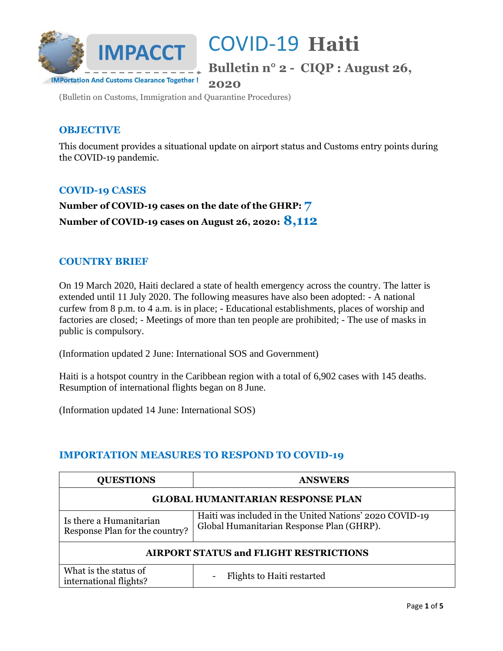

**Bulletin n° 2 - CIQP : August 26,** 

**2020**

(Bulletin on Customs, Immigration and Quarantine Procedures)

### **OBJECTIVE**

This document provides a situational update on airport status and Customs entry points during the COVID-19 pandemic.

### **COVID-19 CASES**

**Number of COVID-19 cases on the date of the GHRP: 7 Number of COVID-19 cases on August 26, 2020: 8,112**

### **COUNTRY BRIEF**

On 19 March 2020, Haiti declared a state of health emergency across the country. The latter is extended until 11 July 2020. The following measures have also been adopted: - A national curfew from 8 p.m. to 4 a.m. is in place; - Educational establishments, places of worship and factories are closed; - Meetings of more than ten people are prohibited; - The use of masks in public is compulsory.

(Information updated 2 June: International SOS and Government)

Haiti is a hotspot country in the Caribbean region with a total of 6,902 cases with 145 deaths. Resumption of international flights began on 8 June.

(Information updated 14 June: International SOS)

#### **IMPORTATION MEASURES TO RESPOND TO COVID-19**

| <b>QUESTIONS</b>                                          | <b>ANSWERS</b>                                                                                       |  |
|-----------------------------------------------------------|------------------------------------------------------------------------------------------------------|--|
| <b>GLOBAL HUMANITARIAN RESPONSE PLAN</b>                  |                                                                                                      |  |
| Is there a Humanitarian<br>Response Plan for the country? | Haiti was included in the United Nations' 2020 COVID-19<br>Global Humanitarian Response Plan (GHRP). |  |
| <b>AIRPORT STATUS and FLIGHT RESTRICTIONS</b>             |                                                                                                      |  |
| What is the status of<br>international flights?           | Flights to Haiti restarted                                                                           |  |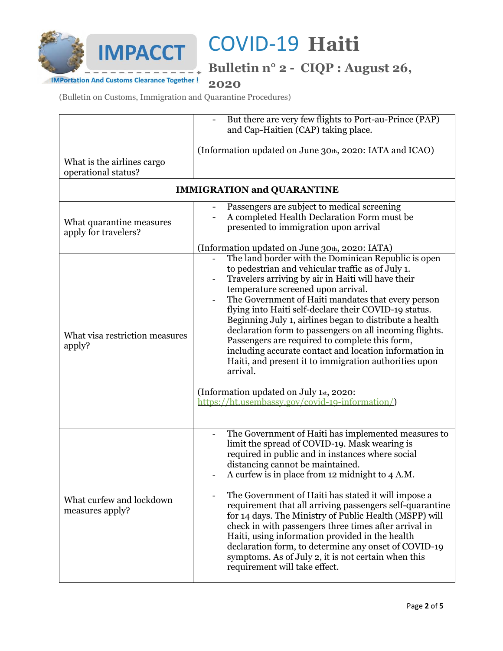

**Bulletin n° 2 - CIQP : August 26,** 

**IMPortation And Customs Clearance Together! 2020**

(Bulletin on Customs, Immigration and Quarantine Procedures)

|                                                   | But there are very few flights to Port-au-Prince (PAP)<br>and Cap-Haitien (CAP) taking place.                                                                                                                                                                                                                                                                                                                                                                                                                                                                                                                                                                                                                                                                              |  |
|---------------------------------------------------|----------------------------------------------------------------------------------------------------------------------------------------------------------------------------------------------------------------------------------------------------------------------------------------------------------------------------------------------------------------------------------------------------------------------------------------------------------------------------------------------------------------------------------------------------------------------------------------------------------------------------------------------------------------------------------------------------------------------------------------------------------------------------|--|
|                                                   | (Information updated on June 30th, 2020: IATA and ICAO)                                                                                                                                                                                                                                                                                                                                                                                                                                                                                                                                                                                                                                                                                                                    |  |
| What is the airlines cargo<br>operational status? |                                                                                                                                                                                                                                                                                                                                                                                                                                                                                                                                                                                                                                                                                                                                                                            |  |
| <b>IMMIGRATION and QUARANTINE</b>                 |                                                                                                                                                                                                                                                                                                                                                                                                                                                                                                                                                                                                                                                                                                                                                                            |  |
| What quarantine measures<br>apply for travelers?  | Passengers are subject to medical screening<br>A completed Health Declaration Form must be<br>presented to immigration upon arrival                                                                                                                                                                                                                                                                                                                                                                                                                                                                                                                                                                                                                                        |  |
| What visa restriction measures<br>apply?          | (Information updated on June 30th, 2020: IATA)<br>The land border with the Dominican Republic is open<br>to pedestrian and vehicular traffic as of July 1.<br>Travelers arriving by air in Haiti will have their<br>temperature screened upon arrival.<br>The Government of Haiti mandates that every person<br>flying into Haiti self-declare their COVID-19 status.<br>Beginning July 1, airlines began to distribute a health<br>declaration form to passengers on all incoming flights.<br>Passengers are required to complete this form,<br>including accurate contact and location information in<br>Haiti, and present it to immigration authorities upon<br>arrival.<br>(Information updated on July 1st, 2020:<br>https://ht.usembassy.gov/covid-19-information/) |  |
| What curfew and lockdown<br>measures apply?       | The Government of Haiti has implemented measures to<br>limit the spread of COVID-19. Mask wearing is<br>required in public and in instances where social<br>distancing cannot be maintained.<br>A curfew is in place from 12 midnight to 4 A.M.<br>The Government of Haiti has stated it will impose a<br>requirement that all arriving passengers self-quarantine<br>for 14 days. The Ministry of Public Health (MSPP) will<br>check in with passengers three times after arrival in<br>Haiti, using information provided in the health<br>declaration form, to determine any onset of COVID-19<br>symptoms. As of July 2, it is not certain when this<br>requirement will take effect.                                                                                   |  |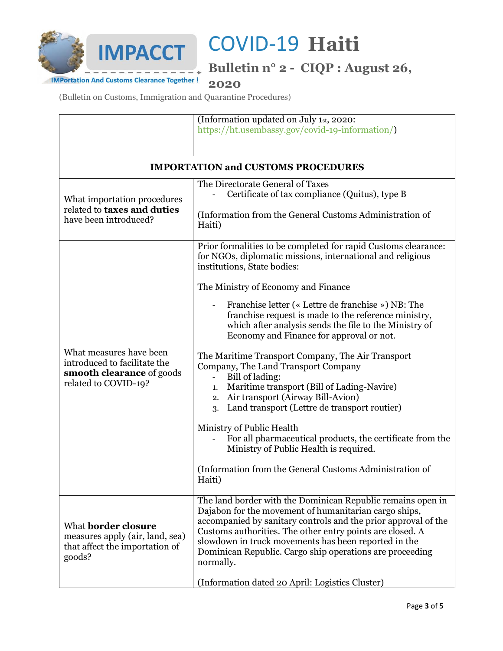

**Bulletin n° 2 - CIQP : August 26,** 

**IMPortation And Customs Clearance Together! 2020**

(Bulletin on Customs, Immigration and Quarantine Procedures)

| https://ht.usembassy.gov/covid-19-information/)                                                                                                                                                                                                                                                                                                                                                                                         |  |  |
|-----------------------------------------------------------------------------------------------------------------------------------------------------------------------------------------------------------------------------------------------------------------------------------------------------------------------------------------------------------------------------------------------------------------------------------------|--|--|
|                                                                                                                                                                                                                                                                                                                                                                                                                                         |  |  |
| <b>IMPORTATION and CUSTOMS PROCEDURES</b>                                                                                                                                                                                                                                                                                                                                                                                               |  |  |
| The Directorate General of Taxes                                                                                                                                                                                                                                                                                                                                                                                                        |  |  |
| Certificate of tax compliance (Quitus), type B                                                                                                                                                                                                                                                                                                                                                                                          |  |  |
| (Information from the General Customs Administration of<br>Haiti)                                                                                                                                                                                                                                                                                                                                                                       |  |  |
| Prior formalities to be completed for rapid Customs clearance:<br>for NGOs, diplomatic missions, international and religious<br>institutions, State bodies:                                                                                                                                                                                                                                                                             |  |  |
| The Ministry of Economy and Finance                                                                                                                                                                                                                                                                                                                                                                                                     |  |  |
| Franchise letter (« Lettre de franchise ») NB: The<br>franchise request is made to the reference ministry,<br>which after analysis sends the file to the Ministry of<br>Economy and Finance for approval or not.                                                                                                                                                                                                                        |  |  |
| The Maritime Transport Company, The Air Transport<br>Company, The Land Transport Company<br>Bill of lading:<br>$\sim$<br>Maritime transport (Bill of Lading-Navire)<br>1.<br>2. Air transport (Airway Bill-Avion)<br>Land transport (Lettre de transport routier)<br>3.                                                                                                                                                                 |  |  |
| Ministry of Public Health<br>For all pharmaceutical products, the certificate from the<br>Ministry of Public Health is required.                                                                                                                                                                                                                                                                                                        |  |  |
| (Information from the General Customs Administration of<br>Haiti)                                                                                                                                                                                                                                                                                                                                                                       |  |  |
| The land border with the Dominican Republic remains open in<br>Dajabon for the movement of humanitarian cargo ships,<br>accompanied by sanitary controls and the prior approval of the<br>Customs authorities. The other entry points are closed. A<br>slowdown in truck movements has been reported in the<br>Dominican Republic. Cargo ship operations are proceeding<br>normally.<br>(Information dated 20 April: Logistics Cluster) |  |  |
|                                                                                                                                                                                                                                                                                                                                                                                                                                         |  |  |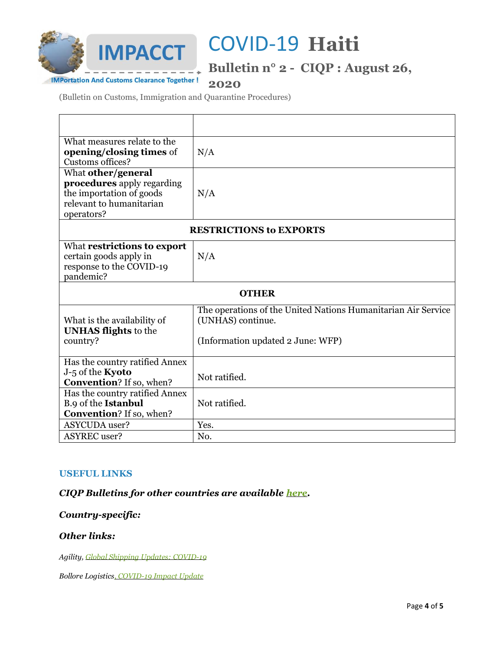

**Bulletin n° 2 - CIQP : August 26,** 

**IMPortation And Customs Clearance Together! 2020**

(Bulletin on Customs, Immigration and Quarantine Procedures)

| What measures relate to the<br>opening/closing times of<br>Customs offices?                                                   | N/A                                                                                                                     |  |
|-------------------------------------------------------------------------------------------------------------------------------|-------------------------------------------------------------------------------------------------------------------------|--|
| What other/general<br><b>procedures</b> apply regarding<br>the importation of goods<br>relevant to humanitarian<br>operators? | N/A                                                                                                                     |  |
| <b>RESTRICTIONS to EXPORTS</b>                                                                                                |                                                                                                                         |  |
| What restrictions to export<br>certain goods apply in<br>response to the COVID-19<br>pandemic?                                | N/A                                                                                                                     |  |
| <b>OTHER</b>                                                                                                                  |                                                                                                                         |  |
| What is the availability of<br><b>UNHAS flights</b> to the<br>country?                                                        | The operations of the United Nations Humanitarian Air Service<br>(UNHAS) continue.<br>(Information updated 2 June: WFP) |  |
| Has the country ratified Annex<br>J-5 of the Kyoto<br><b>Convention?</b> If so, when?                                         | Not ratified.                                                                                                           |  |
| Has the country ratified Annex<br>B.9 of the Istanbul<br><b>Convention?</b> If so, when?                                      | Not ratified.                                                                                                           |  |
| <b>ASYCUDA</b> user?                                                                                                          | Yes.                                                                                                                    |  |
| <b>ASYREC</b> user?                                                                                                           | No.                                                                                                                     |  |

#### **USEFUL LINKS**

*CIQP Bulletins for other countries are available [here.](https://vosocc.unocha.org/rss/5033w_Customs.html)* 

#### *Country-specific:*

#### *Other links:*

*Agility, [Global Shipping Updates: COVID-19](https://www.agility.com/insights/COVID19/homepage/)*

*Bollore Logistics[, COVID-19 Impact Update](https://www.bollore-logistics.com/en/Pages/COVID-19.aspx)*